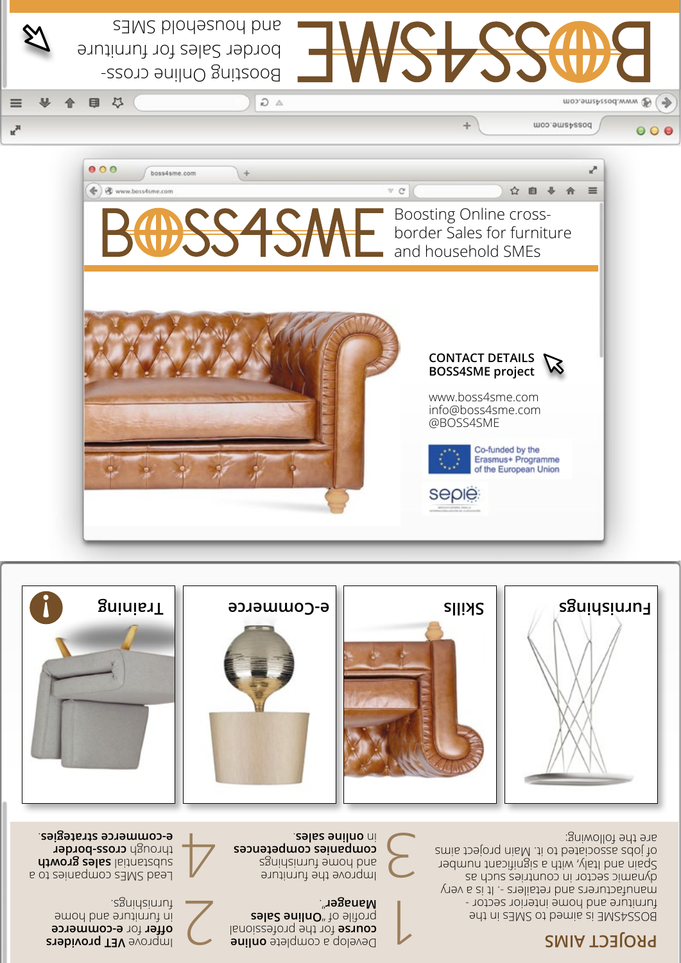# **PROJECT AIMS**

BOSS4SME is aimed to SMEs in the furniture and home interior sector manufacturers and retailers -. It is a very dynamic sector in countries such as Spain and Italy, with a significant number

of jobs associated to it. Main project aims

are the following:

Improve the furniture and home furnishings **competences companies sales auilno** ni <u>تح</u>

Develop a complete online for the professional **course zala2 anilnO**<sup>n</sup> to alitory ". **Manager**

 $\overline{\phantom{a}}$ 

Lead SMEs companies to a substantial sales growth through **cross-border** . **e-commerce strategies**

> **Providers e-commerce** for **offer** in furniture and home furnishings.



 $\overline{\mathcal{C}}$ 

Boosting Online cross-

 $\Omega$   $\Delta$ 

saws ploueshou pue

border Sales for furniture

日 以

v,





 $\frac{1}{2}$ 

Moo.omzhezod.www

posayame.com